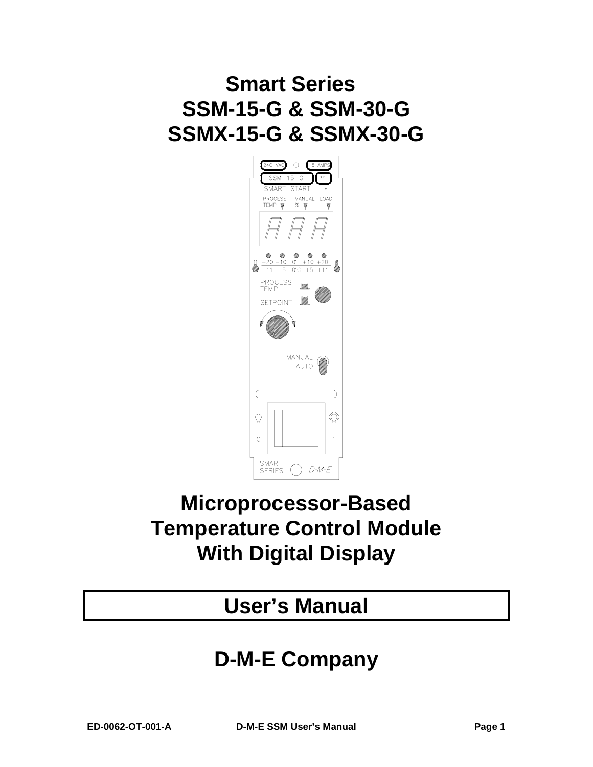# **Smart Series SSM-15-G & SSM-30-G SSMX-15-G & SSMX-30-G**



## **Microprocessor-Based Temperature Control Module With Digital Display**

## **User's Manual**

## **D-M-E Company**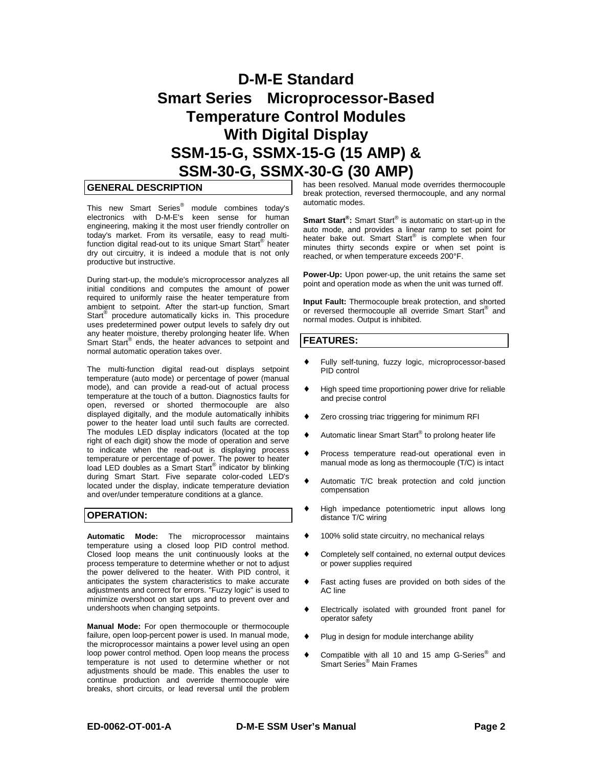## **D-M-E Standard Smart Series Microprocessor-Based Temperature Control Modules With Digital Display SSM-15-G, SSMX-15-G (15 AMP) & SSM-30-G, SSMX-30-G (30 AMP)**

## **GENERAL DESCRIPTION**

This new Smart Series® module combines today's electronics with D-M-E's keen sense for human engineering, making it the most user friendly controller on today's market. From its versatile, easy to read multifunction digital read-out to its unique Smart Start® heater dry out circuitry, it is indeed a module that is not only productive but instructive.

During start-up, the module's microprocessor analyzes all initial conditions and computes the amount of power required to uniformly raise the heater temperature from ambient to setpoint. After the start-up function, Smart Start<sup>®</sup> procedure automatically kicks in. This procedure uses predetermined power output levels to safely dry out any heater moisture, thereby prolonging heater life. When Smart Start<sup>®</sup> ends, the heater advances to setpoint and normal automatic operation takes over.

The multi-function digital read-out displays setpoint temperature (auto mode) or percentage of power (manual mode), and can provide a read-out of actual process temperature at the touch of a button. Diagnostics faults for open, reversed or shorted thermocouple are also displayed digitally, and the module automatically inhibits power to the heater load until such faults are corrected. The modules LED display indicators (located at the top right of each digit) show the mode of operation and serve to indicate when the read-out is displaying process temperature or percentage of power. The power to heater load LED doubles as a Smart Start<sup>®</sup> indicator by blinking during Smart Start. Five separate color-coded LED's located under the display, indicate temperature deviation and over/under temperature conditions at a glance.

### **OPERATION:**

**Automatic Mode:** The microprocessor maintains temperature using a closed loop PID control method. Closed loop means the unit continuously looks at the process temperature to determine whether or not to adjust the power delivered to the heater. With PID control, it anticipates the system characteristics to make accurate adjustments and correct for errors. "Fuzzy logic" is used to minimize overshoot on start ups and to prevent over and undershoots when changing setpoints.

**Manual Mode:** For open thermocouple or thermocouple failure, open loop-percent power is used. In manual mode, the microprocessor maintains a power level using an open loop power control method. Open loop means the process temperature is not used to determine whether or not adjustments should be made. This enables the user to continue production and override thermocouple wire breaks, short circuits, or lead reversal until the problem has been resolved. Manual mode overrides thermocouple break protection, reversed thermocouple, and any normal automatic modes.

**Smart Start®:** Smart Start® is automatic on start-up in the auto mode, and provides a linear ramp to set point for heater bake out. Smart Start<sup>®</sup> is complete when four minutes thirty seconds expire or when set point is reached, or when temperature exceeds 200°F.

**Power-Up:** Upon power-up, the unit retains the same set point and operation mode as when the unit was turned off.

**Input Fault:** Thermocouple break protection, and shorted or reversed thermocouple all override Smart Start<sup>®</sup> and normal modes. Output is inhibited.

## **FEATURES:**

- Fully self-tuning, fuzzy logic, microprocessor-based PID control
- ♦ High speed time proportioning power drive for reliable and precise control
- ♦ Zero crossing triac triggering for minimum RFI
- ♦ Automatic linear Smart Start® to prolong heater life
- ♦ Process temperature read-out operational even in manual mode as long as thermocouple (T/C) is intact
- ♦ Automatic T/C break protection and cold junction compensation
- ♦ High impedance potentiometric input allows long distance T/C wiring
- 100% solid state circuitry, no mechanical relays
- Completely self contained, no external output devices or power supplies required
- Fast acting fuses are provided on both sides of the AC line
- ♦ Electrically isolated with grounded front panel for operator safety
- Plug in design for module interchange ability
- ♦ Compatible with all 10 and 15 amp G-Series® and Smart Series® Main Frames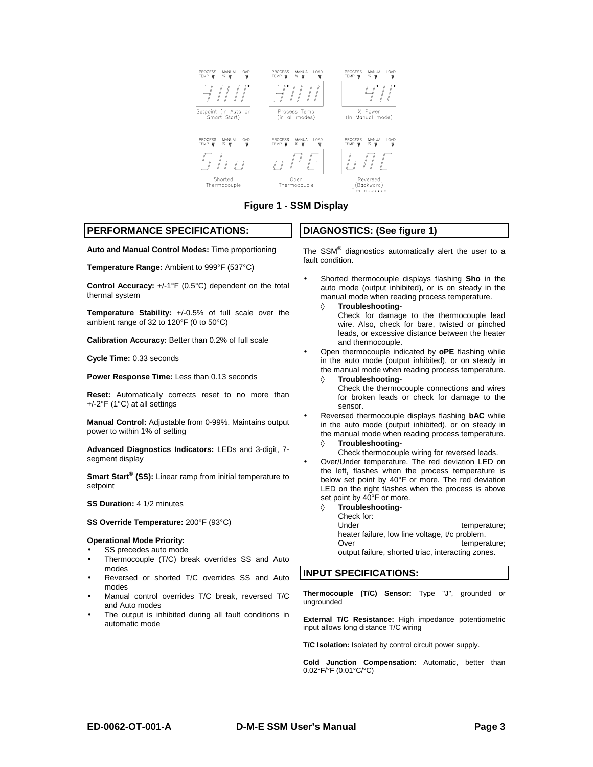

**Figure 1 - SSM Display**

## **PERFORMANCE SPECIFICATIONS:**

**Auto and Manual Control Modes:** Time proportioning

**Temperature Range:** Ambient to 999°F (537°C)

**Control Accuracy:** +/-1°F (0.5°C) dependent on the total thermal system

**Temperature Stability:** +/-0.5% of full scale over the ambient range of 32 to 120°F (0 to 50°C)

**Calibration Accuracy:** Better than 0.2% of full scale

**Cycle Time:** 0.33 seconds

**Power Response Time:** Less than 0.13 seconds

**Reset:** Automatically corrects reset to no more than +/-2°F (1°C) at all settings

**Manual Control:** Adjustable from 0-99%. Maintains output power to within 1% of setting

**Advanced Diagnostics Indicators:** LEDs and 3-digit, 7 segment display

**Smart Start<sup>®</sup> (SS):** Linear ramp from initial temperature to setpoint

**SS Duration:** 4 1/2 minutes

### **SS Override Temperature:** 200°F (93°C)

#### **Operational Mode Priority:**

- SS precedes auto mode
- Thermocouple (T/C) break overrides SS and Auto modes
- Reversed or shorted T/C overrides SS and Auto modes
- Manual control overrides T/C break, reversed T/C and Auto modes
- The output is inhibited during all fault conditions in automatic mode

## **DIAGNOSTICS: (See figure 1)**

The SSM® diagnostics automatically alert the user to a fault condition.

• Shorted thermocouple displays flashing **Sho** in the auto mode (output inhibited), or is on steady in the manual mode when reading process temperature.

◊ **Troubleshooting-**

- Check for damage to the thermocouple lead wire. Also, check for bare, twisted or pinched leads, or excessive distance between the heater and thermocouple.
- Open thermocouple indicated by **oPE** flashing while in the auto mode (output inhibited), or on steady in the manual mode when reading process temperature.
	- ◊ **Troubleshooting-**
		- Check the thermocouple connections and wires for broken leads or check for damage to the sensor.
- Reversed thermocouple displays flashing **bAC** while in the auto mode (output inhibited), or on steady in the manual mode when reading process temperature.
	- ◊ **Troubleshooting-**
		- Check thermocouple wiring for reversed leads.
- Over/Under temperature. The red deviation LED on the left, flashes when the process temperature is below set point by 40°F or more. The red deviation LED on the right flashes when the process is above set point by 40°F or more.
	- ◊ **Troubleshooting-**
		- Check for:

Under temperature; heater failure, low line voltage, t/c problem. Over temperature;

output failure, shorted triac, interacting zones.

## **INPUT SPECIFICATIONS:**

**Thermocouple (T/C) Sensor:** Type "J", grounded or ungrounded

**External T/C Resistance:** High impedance potentiometric input allows long distance T/C wiring

**T/C Isolation:** Isolated by control circuit power supply.

**Cold Junction Compensation:** Automatic, better than 0.02°F/°F (0.01°C/°C)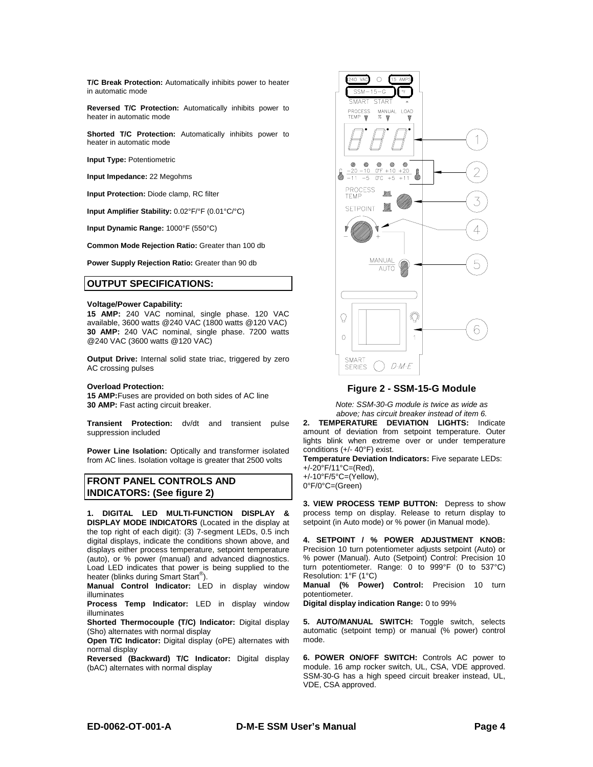**T/C Break Protection:** Automatically inhibits power to heater in automatic mode

**Reversed T/C Protection:** Automatically inhibits power to heater in automatic mode

**Shorted T/C Protection:** Automatically inhibits power to heater in automatic mode

**Input Type:** Potentiometric

**Input Impedance:** 22 Megohms

**Input Protection:** Diode clamp, RC filter

**Input Amplifier Stability:** 0.02°F/°F (0.01°C/°C)

**Input Dynamic Range:** 1000°F (550°C)

**Common Mode Rejection Ratio:** Greater than 100 db

**Power Supply Rejection Ratio:** Greater than 90 db

## **OUTPUT SPECIFICATIONS:**

#### **Voltage/Power Capability:**

**15 AMP:** 240 VAC nominal, single phase. 120 VAC available, 3600 watts @240 VAC (1800 watts @120 VAC) **30 AMP:** 240 VAC nominal, single phase. 7200 watts @240 VAC (3600 watts @120 VAC)

**Output Drive:** Internal solid state triac, triggered by zero AC crossing pulses

#### **Overload Protection:**

**15 AMP:**Fuses are provided on both sides of AC line **30 AMP:** Fast acting circuit breaker.

**Transient Protection:** dv/dt and transient pulse suppression included

**Power Line Isolation:** Optically and transformer isolated from AC lines. Isolation voltage is greater that 2500 volts

## **FRONT PANEL CONTROLS AND INDICATORS: (See figure 2)**

**1. DIGITAL LED MULTI-FUNCTION DISPLAY & DISPLAY MODE INDICATORS** (Located in the display at the top right of each digit): (3) 7-segment LEDs, 0.5 inch digital displays, indicate the conditions shown above, and displays either process temperature, setpoint temperature (auto), or % power (manual) and advanced diagnostics. Load LED indicates that power is being supplied to the heater (blinks during Smart Start<sup>®</sup>).

**Manual Control Indicator:** LED in display window illuminates

**Process Temp Indicator:** LED in display window illuminates

**Shorted Thermocouple (T/C) Indicator:** Digital display (Sho) alternates with normal display

**Open T/C Indicator:** Digital display (oPE) alternates with normal display

**Reversed (Backward) T/C Indicator:** Digital display (bAC) alternates with normal display



**Figure 2 - SSM-15-G Module**

*Note: SSM-30-G module is twice as wide as above; has circuit breaker instead of item 6.*

**2. TEMPERATURE DEVIATION LIGHTS:** Indicate amount of deviation from setpoint temperature. Outer lights blink when extreme over or under temperature conditions (+/- 40°F) exist.

**Temperature Deviation Indicators:** Five separate LEDs: +/-20°F/11°C=(Red), +/-10°F/5°C=(Yellow),

0°F/0°C=(Green)

**3. VIEW PROCESS TEMP BUTTON:** Depress to show process temp on display. Release to return display to setpoint (in Auto mode) or % power (in Manual mode).

**4. SETPOINT / % POWER ADJUSTMENT KNOB:** Precision 10 turn potentiometer adjusts setpoint (Auto) or % power (Manual). Auto (Setpoint) Control: Precision 10 turn potentiometer. Range: 0 to 999°F (0 to 537°C) Resolution: 1°F (1°C)

**Manual (% Power) Control:** Precision 10 turn potentiometer.

**Digital display indication Range:** 0 to 99%

**5. AUTO/MANUAL SWITCH:** Toggle switch, selects automatic (setpoint temp) or manual (% power) control mode.

**6. POWER ON/OFF SWITCH:** Controls AC power to module. 16 amp rocker switch, UL, CSA, VDE approved. SSM-30-G has a high speed circuit breaker instead, UL, VDE, CSA approved.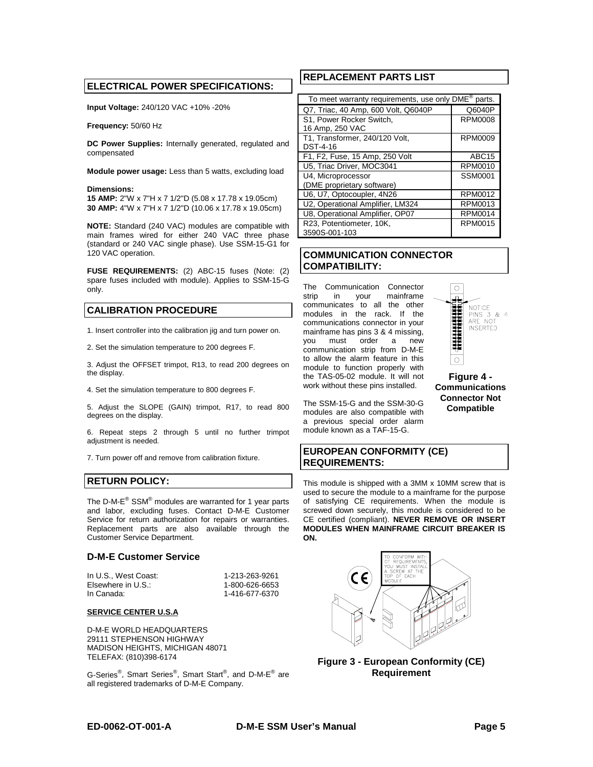## **ELECTRICAL POWER SPECIFICATIONS:**

**Input Voltage:** 240/120 VAC +10% -20%

**Frequency:** 50/60 Hz

**DC Power Supplies:** Internally generated, regulated and compensated

**Module power usage:** Less than 5 watts, excluding load

#### **Dimensions:**

**15 AMP:** 2"W x 7"H x 7 1/2"D (5.08 x 17.78 x 19.05cm) **30 AMP:** 4"W x 7"H x 7 1/2"D (10.06 x 17.78 x 19.05cm)

**NOTE:** Standard (240 VAC) modules are compatible with main frames wired for either 240 VAC three phase (standard or 240 VAC single phase). Use SSM-15-G1 for 120 VAC operation.

**FUSE REQUIREMENTS:** (2) ABC-15 fuses (Note: (2) spare fuses included with module). Applies to SSM-15-G only.

## **CALIBRATION PROCEDURE**

1. Insert controller into the calibration jig and turn power on.

2. Set the simulation temperature to 200 degrees F.

3. Adjust the OFFSET trimpot, R13, to read 200 degrees on the display.

4. Set the simulation temperature to 800 degrees F.

5. Adjust the SLOPE (GAIN) trimpot, R17, to read 800 degrees on the display.

6. Repeat steps 2 through 5 until no further trimpot adjustment is needed.

7. Turn power off and remove from calibration fixture.

## **RETURN POLICY:**

The D-M-E<sup>®</sup> SSM<sup>®</sup> modules are warranted for 1 year parts and labor, excluding fuses. Contact D-M-E Customer Service for return authorization for repairs or warranties. Replacement parts are also available through the Customer Service Department.

### **D-M-E Customer Service**

In U.S., West Coast: 1-213-263-9261 Elsewhere in U.S.: 1-800-626-6653<br>In Canada: 1-416-677-6370

In Canada: 1-416-677-6370

### **SERVICE CENTER U.S.A**

D-M-E WORLD HEADQUARTERS 29111 STEPHENSON HIGHWAY MADISON HEIGHTS, MICHIGAN 48071 TELEFAX: (810)398-6174

G-Series®, Smart Series®, Smart Start®, and D-M-E® are all registered trademarks of D-M-E Company.

## **REPLACEMENT PARTS LIST**

| To meet warranty requirements, use only DME <sup>®</sup> parts. |                |  |
|-----------------------------------------------------------------|----------------|--|
| Q7, Triac, 40 Amp, 600 Volt, Q6040P                             | Q6040P         |  |
| S1. Power Rocker Switch.                                        | RPM0008        |  |
| 16 Amp, 250 VAC                                                 |                |  |
| T1, Transformer, 240/120 Volt,                                  | <b>RPM0009</b> |  |
| DST-4-16                                                        |                |  |
| F1, F2, Fuse, 15 Amp, 250 Volt                                  | ABC15          |  |
| U5, Triac Driver, MOC3041                                       | RPM0010        |  |
| U4, Microprocessor                                              | SSM0001        |  |
| (DME proprietary software)                                      |                |  |
| U6, U7, Optocoupler, 4N26                                       | RPM0012        |  |
| U2, Operational Amplifier, LM324                                | RPM0013        |  |
| U8, Operational Amplifier, OP07                                 | <b>RPM0014</b> |  |
| R23. Potentiometer, 10K.                                        | RPM0015        |  |
| 3590S-001-103                                                   |                |  |

## **COMMUNICATION CONNECTOR COMPATIBILITY:**

The Communication Connector strip in your mainframe communicates to all the other modules in the rack. If the communications connector in your mainframe has pins 3 & 4 missing, you must order a new communication strip from D-M-E to allow the alarm feature in this module to function properly with the TAS-05-02 module. It will not work without these pins installed.

 $\bigcirc$ 4 **NOTICE HANDROOM** PINS 3 & 4 ARE NOT **INSERTED**  $\circ$ 

**Figure 4 - Communications Connector Not Compatible**

The SSM-15-G and the SSM-30-G modules are also compatible with a previous special order alarm module known as a TAF-15-G.

## **EUROPEAN CONFORMITY (CE) REQUIREMENTS:**

This module is shipped with a 3MM x 10MM screw that is used to secure the module to a mainframe for the purpose of satisfying CE requirements. When the module is screwed down securely, this module is considered to be CE certified (compliant). **NEVER REMOVE OR INSERT MODULES WHEN MAINFRAME CIRCUIT BREAKER IS ON.**



**Figure 3 - European Conformity (CE) Requirement**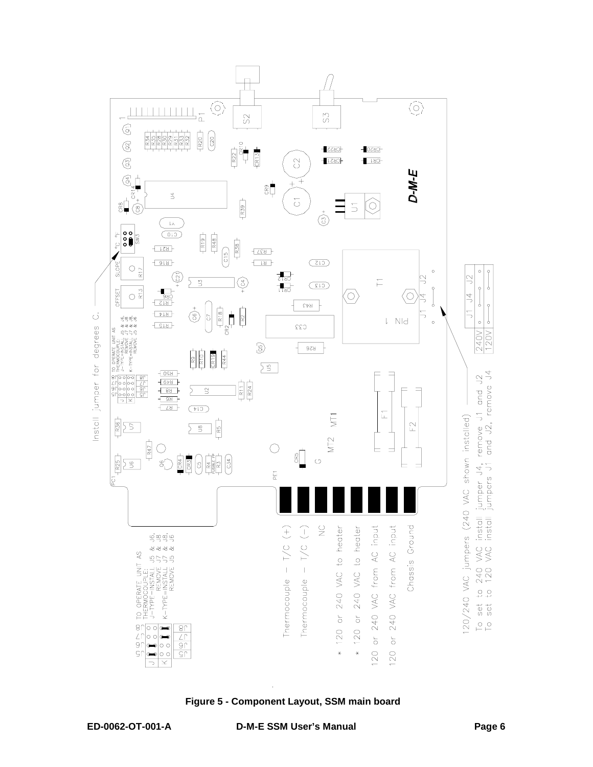

**Figure 5 - Component Layout, SSM main board**